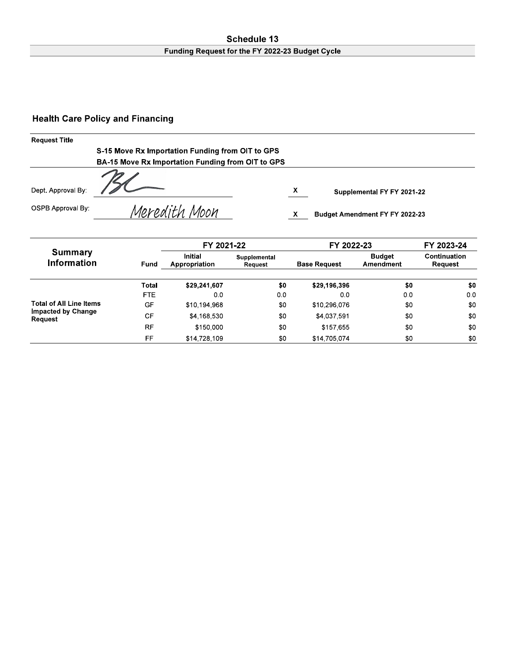### Schedule 13 Funding Request for the FY 2022-23 Budget Cycle

# **Health Care Policy and Financing**

| <b>Request Title</b> |                                                   |   |                                |
|----------------------|---------------------------------------------------|---|--------------------------------|
|                      | S-15 Move Rx Importation Funding from OIT to GPS  |   |                                |
|                      | BA-15 Move Rx Importation Funding from OIT to GPS |   |                                |
| Dept. Approval By:   |                                                   | X | Supplemental FY FY 2021-22     |
| OSPB Approval By:    | Meredith Moon                                     |   | Budget Amendment FY FY 2022-23 |

|                                      |              | FY 2021-22                      |                         | FY 2022-23          | FY 2023-24                 |                         |  |
|--------------------------------------|--------------|---------------------------------|-------------------------|---------------------|----------------------------|-------------------------|--|
| <b>Summary</b><br><b>Information</b> | Fund         | <b>Initial</b><br>Appropriation | Supplemental<br>Request | <b>Base Request</b> | <b>Budget</b><br>Amendment | Continuation<br>Request |  |
|                                      | <b>Total</b> | \$29,241,607                    | \$0                     | \$29,196,396        | \$0                        | \$0                     |  |
|                                      | <b>FTE</b>   | 0.0                             | 00                      | 0.0                 | 0.0                        | 0.0                     |  |
| <b>Total of All Line Items</b>       | GF           | \$10,194,968                    | \$0                     | \$10,296,076        | \$0                        | \$0                     |  |
| <b>Impacted by Change</b><br>Request | CF           | \$4,168,530                     | \$0                     | \$4,037,591         | \$0                        | \$0                     |  |
|                                      | <b>RF</b>    | \$150,000                       | \$0                     | \$157.655           | \$0                        | \$0                     |  |
|                                      | FF           | \$14,728,109                    | \$0                     | \$14,705,074        | \$0                        | \$0                     |  |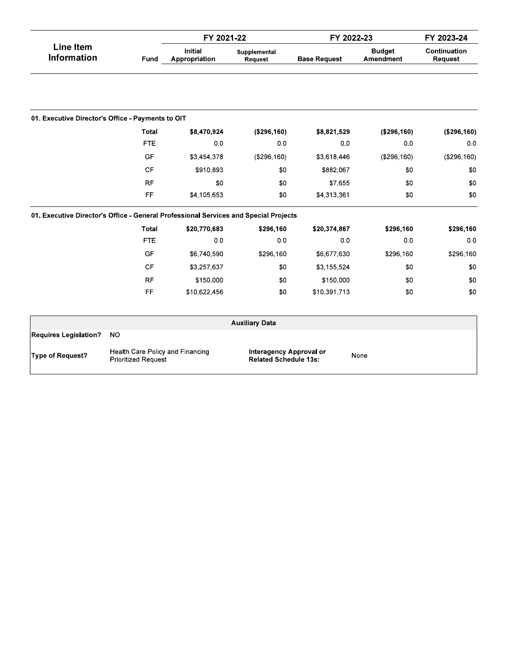|                                                                                      |                                                                                                                                          | FY 2021-22                      |                         | FY 2022-23          | FY 2023-24                 |                         |  |  |  |  |
|--------------------------------------------------------------------------------------|------------------------------------------------------------------------------------------------------------------------------------------|---------------------------------|-------------------------|---------------------|----------------------------|-------------------------|--|--|--|--|
| <b>Line Item</b><br><b>Information</b>                                               | Fund                                                                                                                                     | <b>Initial</b><br>Appropriation | Supplemental<br>Request | <b>Base Request</b> | <b>Budget</b><br>Amendment | Continuation<br>Request |  |  |  |  |
|                                                                                      |                                                                                                                                          |                                 |                         |                     |                            |                         |  |  |  |  |
| 01. Executive Director's Office - Payments to OIT                                    |                                                                                                                                          |                                 |                         |                     |                            |                         |  |  |  |  |
|                                                                                      | Total                                                                                                                                    | \$8,470,924                     | (\$296,160)             | \$8,821,529         | (\$296,160)                | (\$296,160)             |  |  |  |  |
|                                                                                      | <b>FTE</b>                                                                                                                               | 0.0                             | 0 <sub>0</sub>          | 0.0                 | 0.0                        | 0.0                     |  |  |  |  |
|                                                                                      | GF                                                                                                                                       | \$3,454,378                     | (\$296,160)             | \$3,618,446         | (\$296,160)                | (\$296, 160)            |  |  |  |  |
|                                                                                      | <b>CF</b>                                                                                                                                | \$910,893                       | \$0                     | \$882,067           | \$0                        | \$0                     |  |  |  |  |
|                                                                                      | <b>RF</b>                                                                                                                                | \$0                             | \$0                     | \$7,655             | \$0                        | \$0                     |  |  |  |  |
|                                                                                      | FF.                                                                                                                                      | \$4,105,653                     | \$0                     | \$4,313,361         | \$0                        | \$0                     |  |  |  |  |
| 01. Executive Director's Office - General Professional Services and Special Projects |                                                                                                                                          |                                 |                         |                     |                            |                         |  |  |  |  |
|                                                                                      | Total                                                                                                                                    | \$20,770,683                    | \$296,160               | \$20,374,867        | \$296,160                  | \$296,160               |  |  |  |  |
|                                                                                      | <b>FTE</b>                                                                                                                               | 0 <sub>0</sub>                  | 0.0                     | 0.0                 | 0.0                        | 0 <sub>0</sub>          |  |  |  |  |
|                                                                                      | <b>GF</b>                                                                                                                                | \$6,740,590                     | \$296,160               | \$6,677,630         | \$296,160                  | \$296,160               |  |  |  |  |
|                                                                                      | <b>CF</b>                                                                                                                                | \$3,257,637                     | \$0                     | \$3,155,524         | \$0                        | \$0                     |  |  |  |  |
|                                                                                      | <b>RF</b>                                                                                                                                | \$150,000                       | \$0                     | \$150,000           | \$0                        | \$0                     |  |  |  |  |
|                                                                                      | FF.                                                                                                                                      | \$10,622,456                    | \$0                     | \$10,391,713        | \$0                        | \$0                     |  |  |  |  |
|                                                                                      |                                                                                                                                          |                                 |                         |                     |                            |                         |  |  |  |  |
| <b>Requires Legislation?</b>                                                         | <b>NO</b>                                                                                                                                |                                 | <b>Auxiliary Data</b>   |                     |                            |                         |  |  |  |  |
| <b>Type of Request?</b>                                                              | Health Care Policy and Financing<br><b>Interagency Approval or</b><br>None<br><b>Related Schedule 13s:</b><br><b>Prioritized Request</b> |                                 |                         |                     |                            |                         |  |  |  |  |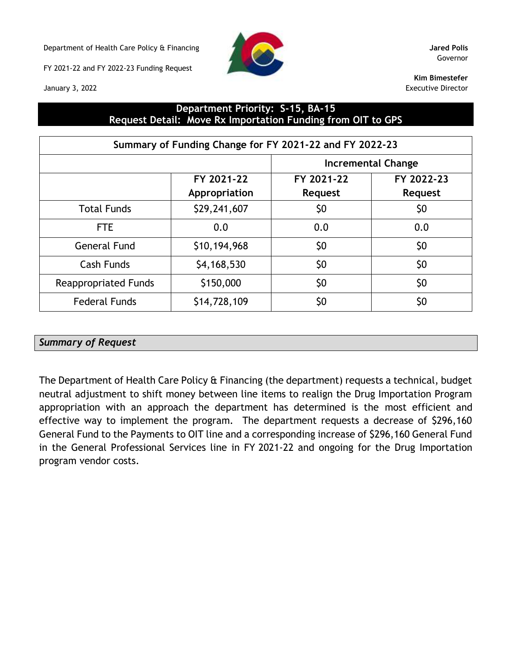Department of Health Care Policy & Financing **Jared Polis**

FY 2021-22 and FY 2022-23 Funding Request





Governor

**Kim Bimestefer** Executive Director

## **Department Priority: S-15, BA-15 Request Detail: Move Rx Importation Funding from OIT to GPS**

| Summary of Funding Change for FY 2021-22 and FY 2022-23 |                             |                              |                              |  |  |  |  |  |
|---------------------------------------------------------|-----------------------------|------------------------------|------------------------------|--|--|--|--|--|
|                                                         |                             | Incremental Change           |                              |  |  |  |  |  |
|                                                         | FY 2021-22<br>Appropriation | FY 2021-22<br><b>Request</b> | FY 2022-23<br><b>Request</b> |  |  |  |  |  |
| <b>Total Funds</b>                                      | \$29,241,607                | \$0                          | \$0                          |  |  |  |  |  |
| <b>FTE</b>                                              | 0.0                         | 0.0                          | 0.0                          |  |  |  |  |  |
| <b>General Fund</b>                                     | \$10,194,968                | \$0                          | \$0                          |  |  |  |  |  |
| Cash Funds                                              | \$4,168,530                 | \$0                          | \$0                          |  |  |  |  |  |
| <b>Reappropriated Funds</b>                             | \$150,000                   | \$0                          | \$0                          |  |  |  |  |  |
| <b>Federal Funds</b>                                    | \$14,728,109                | \$0                          | \$0                          |  |  |  |  |  |

## *Summary of Request*

The Department of Health Care Policy & Financing (the department) requests a technical, budget neutral adjustment to shift money between line items to realign the Drug Importation Program appropriation with an approach the department has determined is the most efficient and effective way to implement the program. The department requests a decrease of \$296,160 General Fund to the Payments to OIT line and a corresponding increase of \$296,160 General Fund in the General Professional Services line in FY 2021-22 and ongoing for the Drug Importation program vendor costs.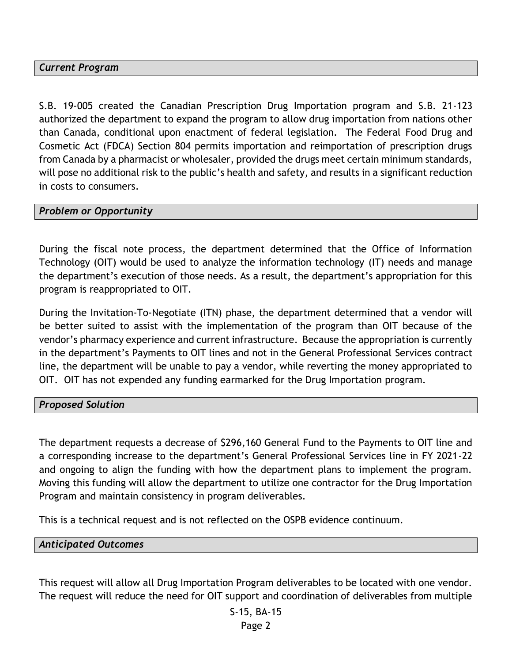## *Current Program*

S.B. 19-005 created the Canadian Prescription Drug Importation program and S.B. 21-123 authorized the department to expand the program to allow drug importation from nations other than Canada, conditional upon enactment of federal legislation. The Federal Food Drug and Cosmetic Act (FDCA) Section 804 permits importation and reimportation of prescription drugs from Canada by a pharmacist or wholesaler, provided the drugs meet certain minimum standards, will pose no additional risk to the public's health and safety, and results in a significant reduction in costs to consumers.

### *Problem or Opportunity*

During the fiscal note process, the department determined that the Office of Information Technology (OIT) would be used to analyze the information technology (IT) needs and manage the department's execution of those needs. As a result, the department's appropriation for this program is reappropriated to OIT.

During the Invitation-To-Negotiate (ITN) phase, the department determined that a vendor will be better suited to assist with the implementation of the program than OIT because of the vendor's pharmacy experience and current infrastructure. Because the appropriation is currently in the department's Payments to OIT lines and not in the General Professional Services contract line, the department will be unable to pay a vendor, while reverting the money appropriated to OIT. OIT has not expended any funding earmarked for the Drug Importation program.

#### *Proposed Solution*

The department requests a decrease of \$296,160 General Fund to the Payments to OIT line and a corresponding increase to the department's General Professional Services line in FY 2021-22 and ongoing to align the funding with how the department plans to implement the program. Moving this funding will allow the department to utilize one contractor for the Drug Importation Program and maintain consistency in program deliverables.

This is a technical request and is not reflected on the OSPB evidence continuum.

#### *Anticipated Outcomes*

This request will allow all Drug Importation Program deliverables to be located with one vendor. The request will reduce the need for OIT support and coordination of deliverables from multiple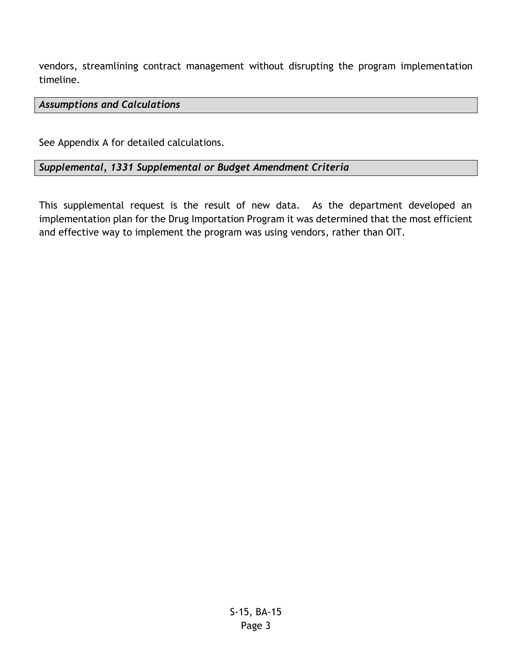vendors, streamlining contract management without disrupting the program implementation timeline.

## *Assumptions and Calculations*

See Appendix A for detailed calculations.

## *Supplemental, 1331 Supplemental or Budget Amendment Criteria*

This supplemental request is the result of new data. As the department developed an implementation plan for the Drug Importation Program it was determined that the most efficient and effective way to implement the program was using vendors, rather than OIT.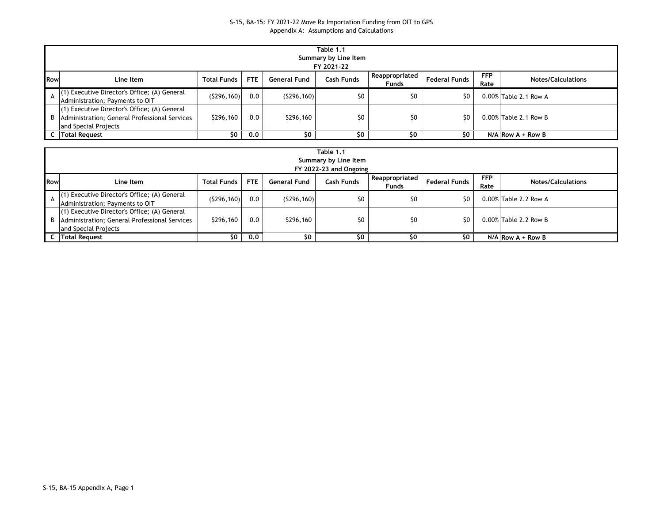#### S-15, BA-15: FY 2021-22 Move Rx Importation Funding from OIT to GPS Appendix A: Assumptions and Calculations

| Table 1.1<br>Summary by Line Item<br>FY 2021-22 |                                                                                                                           |                    |            |                     |            |                                  |                      |                    |                           |  |
|-------------------------------------------------|---------------------------------------------------------------------------------------------------------------------------|--------------------|------------|---------------------|------------|----------------------------------|----------------------|--------------------|---------------------------|--|
| <b>IRow</b>                                     | Line Item                                                                                                                 | <b>Total Funds</b> | <b>FTE</b> | <b>General Fund</b> | Cash Funds | Reappropriated  <br><b>Funds</b> | <b>Federal Funds</b> | <b>FFP</b><br>Rate | <b>Notes/Calculations</b> |  |
|                                                 | (1) Executive Director's Office; (A) General<br>Administration; Payments to OIT                                           | (5296, 160)        | 0.0        | (5296, 160)         | \$0        | \$0                              | \$0                  |                    | $0.00\%$ Table 2.1 Row A  |  |
|                                                 | (1) Executive Director's Office; (A) General<br>B   Administration; General Professional Services<br>and Special Projects | \$296,160          | 0.0        | \$296,160           | \$0        | \$0                              | S0                   |                    | $0.00\%$ Table 2.1 Row B  |  |
|                                                 | C   Total Request                                                                                                         | SO.                | 0.0        | \$0                 | \$0        | \$0                              |                      |                    | $N/A$ Row A + Row B       |  |

|            | Table 1.1<br>Summary by Line Item<br>FY 2022-23 and Ongoing                                                               |                    |      |              |            |                                |                      |                    |                           |  |  |
|------------|---------------------------------------------------------------------------------------------------------------------------|--------------------|------|--------------|------------|--------------------------------|----------------------|--------------------|---------------------------|--|--|
| <b>Row</b> | Line Item                                                                                                                 | <b>Total Funds</b> | FTE. | General Fund | Cash Funds | Reappropriated<br><b>Funds</b> | <b>Federal Funds</b> | <b>FFP</b><br>Rate | <b>Notes/Calculations</b> |  |  |
|            | (1) Executive Director's Office; (A) General<br>Administration; Payments to OIT                                           | (5296, 160)        | 0.0  | (5296, 160)  | \$0        | \$0                            | \$0                  |                    | $0.00\%$ Table 2.2 Row A  |  |  |
|            | (1) Executive Director's Office; (A) General<br>B   Administration; General Professional Services<br>and Special Projects | \$296,160          | 0.0  | \$296,160    | \$0        | \$0                            | \$0                  |                    | 0.00% Table 2.2 Row B     |  |  |
|            | <b>C</b> Total Request                                                                                                    | \$0                | 0.0  | \$0          | \$0        | \$0                            | SO.                  |                    | $N/A$ Row A + Row B       |  |  |